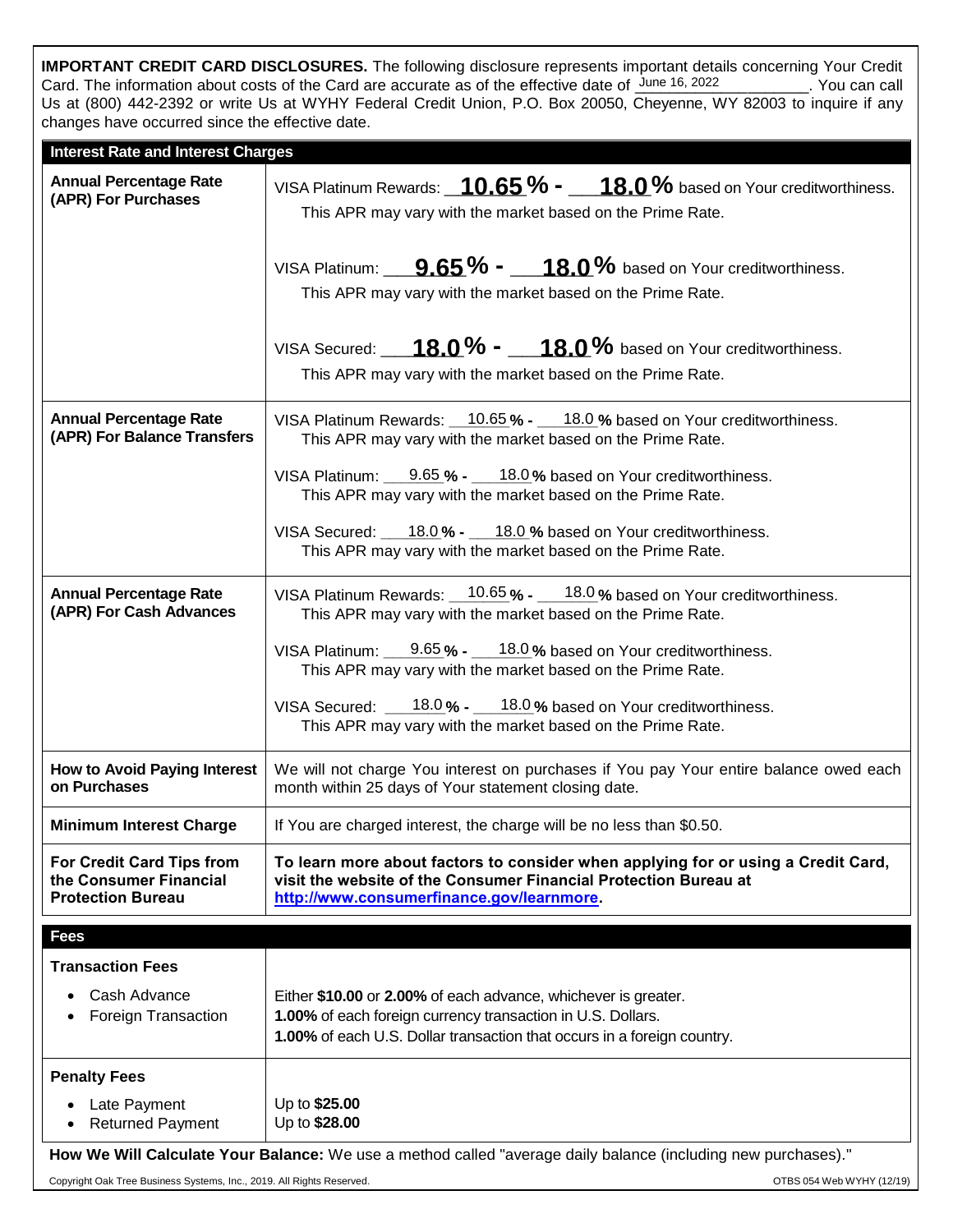**IMPORTANT CREDIT CARD DISCLOSURES.** The following disclosure represents important details concerning Your Credit Card. The information about costs of the Card are accurate as of the effective date of  $\frac{\text{June 16, 2022}}{\text{June 16, 2022}}$ . You can call Us at (800) 442-2392 or write Us at WYHY Federal Credit Union, P.O. Box 20050, Cheyenne, WY 82003 to inquire if any changes have occurred since the effective date.

| <b>Interest Rate and Interest Charges</b>                                                                     |                                                                                                                                                                                                          |
|---------------------------------------------------------------------------------------------------------------|----------------------------------------------------------------------------------------------------------------------------------------------------------------------------------------------------------|
| <b>Annual Percentage Rate</b><br>(APR) For Purchases                                                          | VISA Platinum Rewards: $\underline{10.65}$ % = $\underline{18.0}$ % based on Your creditworthiness.<br>This APR may vary with the market based on the Prime Rate.                                        |
|                                                                                                               | VISA Platinum: $9.65\%$ - $18.0\%$ based on Your creditworthiness.<br>This APR may vary with the market based on the Prime Rate.                                                                         |
|                                                                                                               | VISA Secured: $18.0\%$ - $18.0\%$ based on Your creditworthiness.<br>This APR may vary with the market based on the Prime Rate.                                                                          |
| <b>Annual Percentage Rate</b><br>(APR) For Balance Transfers                                                  | VISA Platinum Rewards: 10.65% - 18.0 % based on Your creditworthiness.<br>This APR may vary with the market based on the Prime Rate.                                                                     |
|                                                                                                               | VISA Platinum: 9.65 % - 18.0% based on Your creditworthiness.<br>This APR may vary with the market based on the Prime Rate.                                                                              |
|                                                                                                               | VISA Secured: 18.0% - 18.0% based on Your creditworthiness.<br>This APR may vary with the market based on the Prime Rate.                                                                                |
| <b>Annual Percentage Rate</b><br>(APR) For Cash Advances                                                      | VISA Platinum Rewards: 10.65% - 18.0% based on Your creditworthiness.<br>This APR may vary with the market based on the Prime Rate.                                                                      |
|                                                                                                               | VISA Platinum: $9.65\% - 18.0\%$ based on Your creditworthiness.<br>This APR may vary with the market based on the Prime Rate.                                                                           |
|                                                                                                               | VISA Secured: $18.0\% - 18.0\%$ based on Your creditworthiness.<br>This APR may vary with the market based on the Prime Rate.                                                                            |
| <b>How to Avoid Paying Interest</b><br>on Purchases                                                           | We will not charge You interest on purchases if You pay Your entire balance owed each<br>month within 25 days of Your statement closing date.                                                            |
| <b>Minimum Interest Charge</b>                                                                                | If You are charged interest, the charge will be no less than \$0.50.                                                                                                                                     |
| For Credit Card Tips from<br>the Consumer Financial<br><b>Protection Bureau</b>                               | To learn more about factors to consider when applying for or using a Credit Card,<br>visit the website of the Consumer Financial Protection Bureau at<br>http://www.consumerfinance.gov/learnmore.       |
| <b>Fees</b>                                                                                                   |                                                                                                                                                                                                          |
| <b>Transaction Fees</b>                                                                                       |                                                                                                                                                                                                          |
| Cash Advance<br>$\bullet$<br>Foreign Transaction                                                              | Either \$10.00 or 2.00% of each advance, whichever is greater.<br>1.00% of each foreign currency transaction in U.S. Dollars.<br>1.00% of each U.S. Dollar transaction that occurs in a foreign country. |
| <b>Penalty Fees</b>                                                                                           |                                                                                                                                                                                                          |
| Late Payment<br><b>Returned Payment</b>                                                                       | Up to \$25.00<br>Up to \$28.00                                                                                                                                                                           |
| How We Will Calculate Your Balance: We use a method called "average daily balance (including new purchases)." |                                                                                                                                                                                                          |

Copyright Oak Tree Business Systems, Inc., 2019. All Rights Reserved. **Community** Community Community Community Community Community Community Community Community Community (12/19)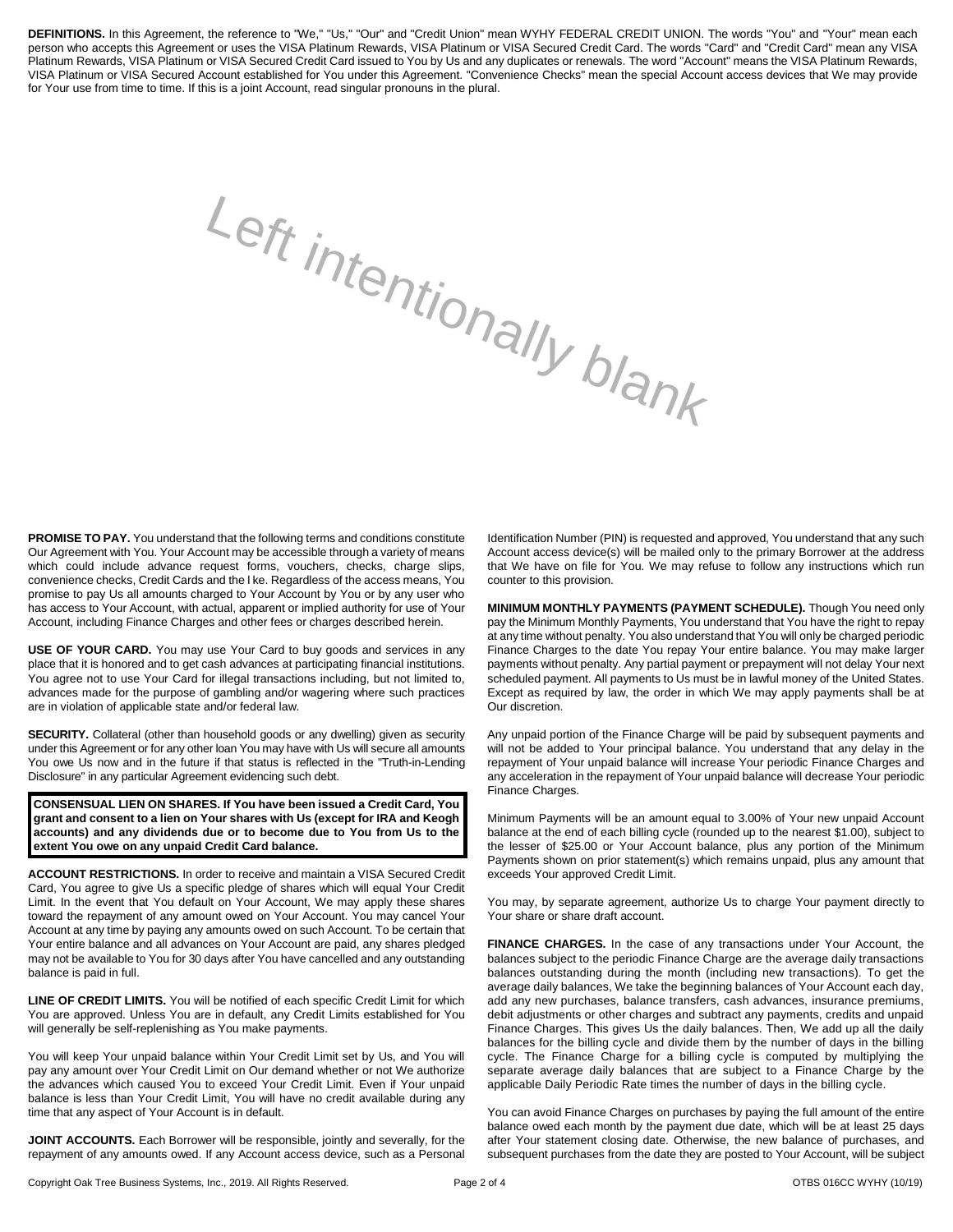**DEFINITIONS.** In this Agreement, the reference to "We," "Us," "Our" and "Credit Union" mean WYHY FEDERAL CREDIT UNION. The words "You" and "Your" mean each person who accepts this Agreement or uses the VISA Platinum Rewards, VISA Platinum or VISA Secured Credit Card. The words "Card" and "Credit Card" mean any VISA Platinum Rewards, VISA Platinum or VISA Secured Credit Card issued to You by Us and any duplicates or renewals. The word "Account" means the VISA Platinum Rewards, VISA Platinum or VISA Secured Account established for You under this Agreement. "Convenience Checks" mean the special Account access devices that We may provide for Your use from time to time. If this is a joint Account, read singular pronouns in the plural.

Left intentionally blank

**PROMISE TO PAY.** You understand that the following terms and conditions constitute Our Agreement with You. Your Account may be accessible through a variety of means which could include advance request forms, vouchers, checks, charge slips, convenience checks, Credit Cards and the l ke. Regardless of the access means, You promise to pay Us all amounts charged to Your Account by You or by any user who has access to Your Account, with actual, apparent or implied authority for use of Your Account, including Finance Charges and other fees or charges described herein.

**USE OF YOUR CARD.** You may use Your Card to buy goods and services in any place that it is honored and to get cash advances at participating financial institutions. You agree not to use Your Card for illegal transactions including, but not limited to, advances made for the purpose of gambling and/or wagering where such practices are in violation of applicable state and/or federal law.

**SECURITY.** Collateral (other than household goods or any dwelling) given as security under this Agreement or for any other loan You may have with Us will secure all amounts You owe Us now and in the future if that status is reflected in the "Truth-in-Lending Disclosure" in any particular Agreement evidencing such debt.

**CONSENSUAL LIEN ON SHARES. If You have been issued a Credit Card, You grant and consent to a lien on Your shares with Us (except for IRA and Keogh accounts) and any dividends due or to become due to You from Us to the extent You owe on any unpaid Credit Card balance.** 

**ACCOUNT RESTRICTIONS.** In order to receive and maintain a VISA Secured Credit Card, You agree to give Us a specific pledge of shares which will equal Your Credit Limit. In the event that You default on Your Account, We may apply these shares toward the repayment of any amount owed on Your Account. You may cancel Your Account at any time by paying any amounts owed on such Account. To be certain that Your entire balance and all advances on Your Account are paid, any shares pledged may not be available to You for 30 days after You have cancelled and any outstanding balance is paid in full.

**LINE OF CREDIT LIMITS.** You will be notified of each specific Credit Limit for which You are approved. Unless You are in default, any Credit Limits established for You will generally be self-replenishing as You make payments.

You will keep Your unpaid balance within Your Credit Limit set by Us, and You will pay any amount over Your Credit Limit on Our demand whether or not We authorize the advances which caused You to exceed Your Credit Limit. Even if Your unpaid balance is less than Your Credit Limit, You will have no credit available during any time that any aspect of Your Account is in default.

**JOINT ACCOUNTS.** Each Borrower will be responsible, jointly and severally, for the repayment of any amounts owed. If any Account access device, such as a Personal Identification Number (PIN) is requested and approved, You understand that any such Account access device(s) will be mailed only to the primary Borrower at the address that We have on file for You. We may refuse to follow any instructions which run counter to this provision.

**MINIMUM MONTHLY PAYMENTS (PAYMENT SCHEDULE).** Though You need only pay the Minimum Monthly Payments, You understand that You have the right to repay at any time without penalty. You also understand that You will only be charged periodic Finance Charges to the date You repay Your entire balance. You may make larger payments without penalty. Any partial payment or prepayment will not delay Your next scheduled payment. All payments to Us must be in lawful money of the United States. Except as required by law, the order in which We may apply payments shall be at Our discretion.

Any unpaid portion of the Finance Charge will be paid by subsequent payments and will not be added to Your principal balance. You understand that any delay in the repayment of Your unpaid balance will increase Your periodic Finance Charges and any acceleration in the repayment of Your unpaid balance will decrease Your periodic Finance Charges.

Minimum Payments will be an amount equal to 3.00% of Your new unpaid Account balance at the end of each billing cycle (rounded up to the nearest \$1.00), subject to the lesser of \$25.00 or Your Account balance, plus any portion of the Minimum Payments shown on prior statement(s) which remains unpaid, plus any amount that exceeds Your approved Credit Limit.

You may, by separate agreement, authorize Us to charge Your payment directly to Your share or share draft account.

**FINANCE CHARGES.** In the case of any transactions under Your Account, the balances subject to the periodic Finance Charge are the average daily transactions balances outstanding during the month (including new transactions). To get the average daily balances, We take the beginning balances of Your Account each day, add any new purchases, balance transfers, cash advances, insurance premiums, debit adjustments or other charges and subtract any payments, credits and unpaid Finance Charges. This gives Us the daily balances. Then, We add up all the daily balances for the billing cycle and divide them by the number of days in the billing cycle. The Finance Charge for a billing cycle is computed by multiplying the separate average daily balances that are subject to a Finance Charge by the applicable Daily Periodic Rate times the number of days in the billing cycle.

You can avoid Finance Charges on purchases by paying the full amount of the entire balance owed each month by the payment due date, which will be at least 25 days after Your statement closing date. Otherwise, the new balance of purchases, and subsequent purchases from the date they are posted to Your Account, will be subject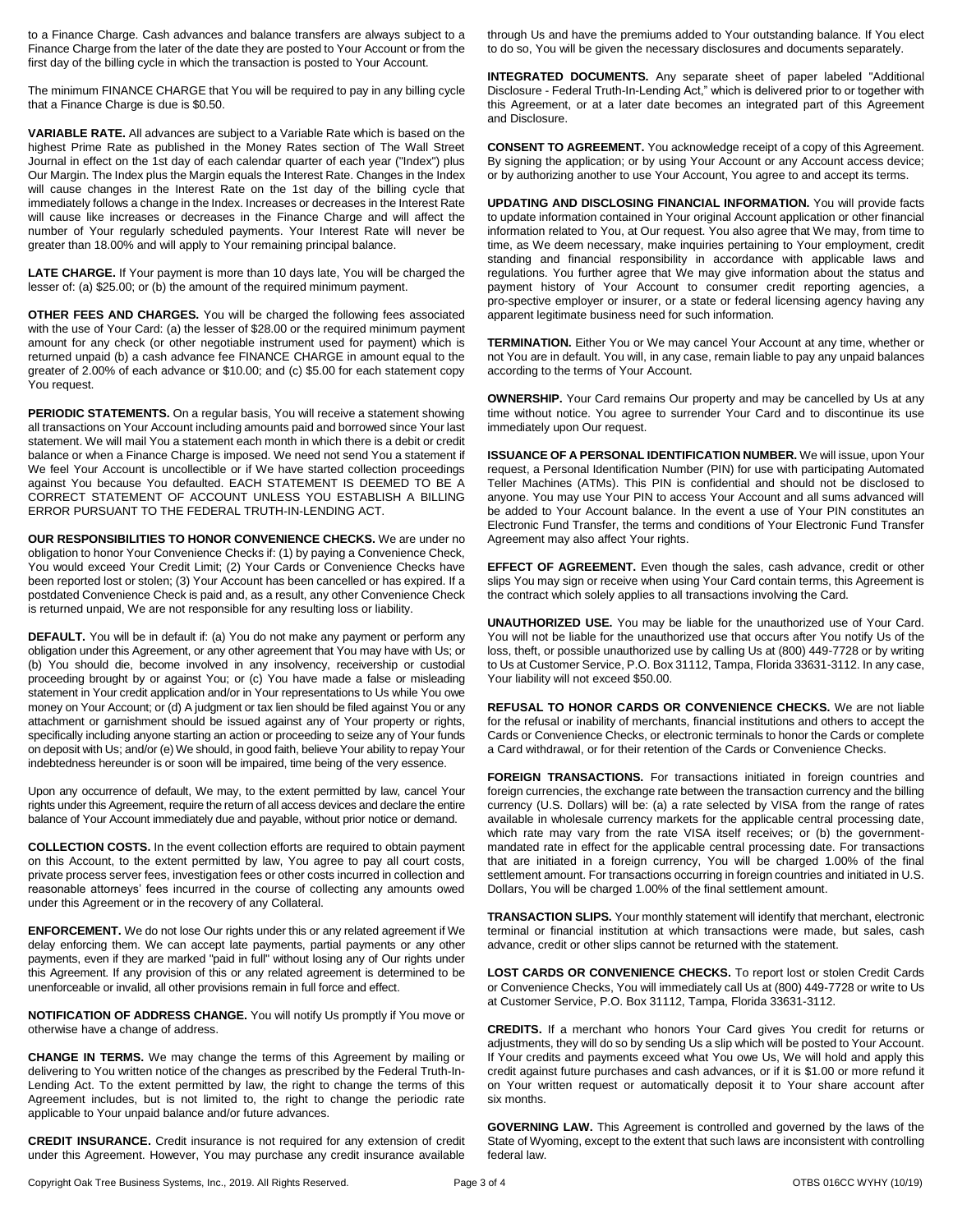to a Finance Charge. Cash advances and balance transfers are always subject to a Finance Charge from the later of the date they are posted to Your Account or from the first day of the billing cycle in which the transaction is posted to Your Account.

The minimum FINANCE CHARGE that You will be required to pay in any billing cycle that a Finance Charge is due is \$0.50.

**VARIABLE RATE.** All advances are subject to a Variable Rate which is based on the highest Prime Rate as published in the Money Rates section of The Wall Street Journal in effect on the 1st day of each calendar quarter of each year ("Index") plus Our Margin. The Index plus the Margin equals the Interest Rate. Changes in the Index will cause changes in the Interest Rate on the 1st day of the billing cycle that immediately follows a change in the Index. Increases or decreases in the Interest Rate will cause like increases or decreases in the Finance Charge and will affect the number of Your regularly scheduled payments. Your Interest Rate will never be greater than 18.00% and will apply to Your remaining principal balance.

**LATE CHARGE.** If Your payment is more than 10 days late, You will be charged the lesser of: (a) \$25.00; or (b) the amount of the required minimum payment.

**OTHER FEES AND CHARGES.** You will be charged the following fees associated with the use of Your Card: (a) the lesser of \$28.00 or the required minimum payment amount for any check (or other negotiable instrument used for payment) which is returned unpaid (b) a cash advance fee FINANCE CHARGE in amount equal to the greater of 2.00% of each advance or \$10.00; and (c) \$5.00 for each statement copy You request.

**PERIODIC STATEMENTS.** On a regular basis, You will receive a statement showing all transactions on Your Account including amounts paid and borrowed since Your last statement. We will mail You a statement each month in which there is a debit or credit balance or when a Finance Charge is imposed. We need not send You a statement if We feel Your Account is uncollectible or if We have started collection proceedings against You because You defaulted. EACH STATEMENT IS DEEMED TO BE A CORRECT STATEMENT OF ACCOUNT UNLESS YOU ESTABLISH A BILLING ERROR PURSUANT TO THE FEDERAL TRUTH-IN-LENDING ACT.

**OUR RESPONSIBILITIES TO HONOR CONVENIENCE CHECKS.** We are under no obligation to honor Your Convenience Checks if: (1) by paying a Convenience Check, You would exceed Your Credit Limit; (2) Your Cards or Convenience Checks have been reported lost or stolen; (3) Your Account has been cancelled or has expired. If a postdated Convenience Check is paid and, as a result, any other Convenience Check is returned unpaid, We are not responsible for any resulting loss or liability.

**DEFAULT.** You will be in default if: (a) You do not make any payment or perform any obligation under this Agreement, or any other agreement that You may have with Us; or (b) You should die, become involved in any insolvency, receivership or custodial proceeding brought by or against You; or (c) You have made a false or misleading statement in Your credit application and/or in Your representations to Us while You owe money on Your Account; or (d) A judgment or tax lien should be filed against You or any attachment or garnishment should be issued against any of Your property or rights, specifically including anyone starting an action or proceeding to seize any of Your funds on deposit with Us; and/or (e) We should, in good faith, believe Your ability to repay Your indebtedness hereunder is or soon will be impaired, time being of the very essence.

Upon any occurrence of default, We may, to the extent permitted by law, cancel Your rights under this Agreement, require the return of all access devices and declare the entire balance of Your Account immediately due and payable, without prior notice or demand.

**COLLECTION COSTS.** In the event collection efforts are required to obtain payment on this Account, to the extent permitted by law, You agree to pay all court costs, private process server fees, investigation fees or other costs incurred in collection and reasonable attorneys' fees incurred in the course of collecting any amounts owed under this Agreement or in the recovery of any Collateral.

**ENFORCEMENT.** We do not lose Our rights under this or any related agreement if We delay enforcing them. We can accept late payments, partial payments or any other payments, even if they are marked "paid in full" without losing any of Our rights under this Agreement. If any provision of this or any related agreement is determined to be unenforceable or invalid, all other provisions remain in full force and effect.

**NOTIFICATION OF ADDRESS CHANGE.** You will notify Us promptly if You move or otherwise have a change of address.

**CHANGE IN TERMS.** We may change the terms of this Agreement by mailing or delivering to You written notice of the changes as prescribed by the Federal Truth-In-Lending Act. To the extent permitted by law, the right to change the terms of this Agreement includes, but is not limited to, the right to change the periodic rate applicable to Your unpaid balance and/or future advances.

**CREDIT INSURANCE.** Credit insurance is not required for any extension of credit under this Agreement. However, You may purchase any credit insurance available through Us and have the premiums added to Your outstanding balance. If You elect to do so, You will be given the necessary disclosures and documents separately.

**INTEGRATED DOCUMENTS.** Any separate sheet of paper labeled "Additional Disclosure - Federal Truth-In-Lending Act," which is delivered prior to or together with this Agreement, or at a later date becomes an integrated part of this Agreement and Disclosure.

**CONSENT TO AGREEMENT.** You acknowledge receipt of a copy of this Agreement. By signing the application; or by using Your Account or any Account access device; or by authorizing another to use Your Account, You agree to and accept its terms.

**UPDATING AND DISCLOSING FINANCIAL INFORMATION.** You will provide facts to update information contained in Your original Account application or other financial information related to You, at Our request. You also agree that We may, from time to time, as We deem necessary, make inquiries pertaining to Your employment, credit standing and financial responsibility in accordance with applicable laws and regulations. You further agree that We may give information about the status and payment history of Your Account to consumer credit reporting agencies, a pro-spective employer or insurer, or a state or federal licensing agency having any apparent legitimate business need for such information.

**TERMINATION.** Either You or We may cancel Your Account at any time, whether or not You are in default. You will, in any case, remain liable to pay any unpaid balances according to the terms of Your Account.

**OWNERSHIP.** Your Card remains Our property and may be cancelled by Us at any time without notice. You agree to surrender Your Card and to discontinue its use immediately upon Our request.

**ISSUANCE OF A PERSONAL IDENTIFICATION NUMBER.** We will issue, upon Your request, a Personal Identification Number (PIN) for use with participating Automated Teller Machines (ATMs). This PIN is confidential and should not be disclosed to anyone. You may use Your PIN to access Your Account and all sums advanced will be added to Your Account balance. In the event a use of Your PIN constitutes an Electronic Fund Transfer, the terms and conditions of Your Electronic Fund Transfer Agreement may also affect Your rights.

**EFFECT OF AGREEMENT.** Even though the sales, cash advance, credit or other slips You may sign or receive when using Your Card contain terms, this Agreement is the contract which solely applies to all transactions involving the Card.

**UNAUTHORIZED USE.** You may be liable for the unauthorized use of Your Card. You will not be liable for the unauthorized use that occurs after You notify Us of the loss, theft, or possible unauthorized use by calling Us at (800) 449-7728 or by writing to Us at Customer Service, P.O. Box 31112, Tampa, Florida 33631-3112. In any case, Your liability will not exceed \$50.00.

**REFUSAL TO HONOR CARDS OR CONVENIENCE CHECKS.** We are not liable for the refusal or inability of merchants, financial institutions and others to accept the Cards or Convenience Checks, or electronic terminals to honor the Cards or complete a Card withdrawal, or for their retention of the Cards or Convenience Checks.

**FOREIGN TRANSACTIONS.** For transactions initiated in foreign countries and foreign currencies, the exchange rate between the transaction currency and the billing currency (U.S. Dollars) will be: (a) a rate selected by VISA from the range of rates available in wholesale currency markets for the applicable central processing date, which rate may vary from the rate VISA itself receives; or (b) the governmentmandated rate in effect for the applicable central processing date. For transactions that are initiated in a foreign currency, You will be charged 1.00% of the final settlement amount. For transactions occurring in foreign countries and initiated in U.S. Dollars, You will be charged 1.00% of the final settlement amount.

**TRANSACTION SLIPS.** Your monthly statement will identify that merchant, electronic terminal or financial institution at which transactions were made, but sales, cash advance, credit or other slips cannot be returned with the statement.

**LOST CARDS OR CONVENIENCE CHECKS.** To report lost or stolen Credit Cards or Convenience Checks, You will immediately call Us at (800) 449-7728 or write to Us at Customer Service, P.O. Box 31112, Tampa, Florida 33631-3112.

**CREDITS.** If a merchant who honors Your Card gives You credit for returns or adjustments, they will do so by sending Us a slip which will be posted to Your Account. If Your credits and payments exceed what You owe Us, We will hold and apply this credit against future purchases and cash advances, or if it is \$1.00 or more refund it on Your written request or automatically deposit it to Your share account after six months.

**GOVERNING LAW.** This Agreement is controlled and governed by the laws of the State of Wyoming, except to the extent that such laws are inconsistent with controlling federal law.

Copyright Oak Tree Business Systems, Inc., 2019. All Rights Reserved. Page 3 of 4 Page 3 of 4 OTBS 016CC WYHY (10/19)